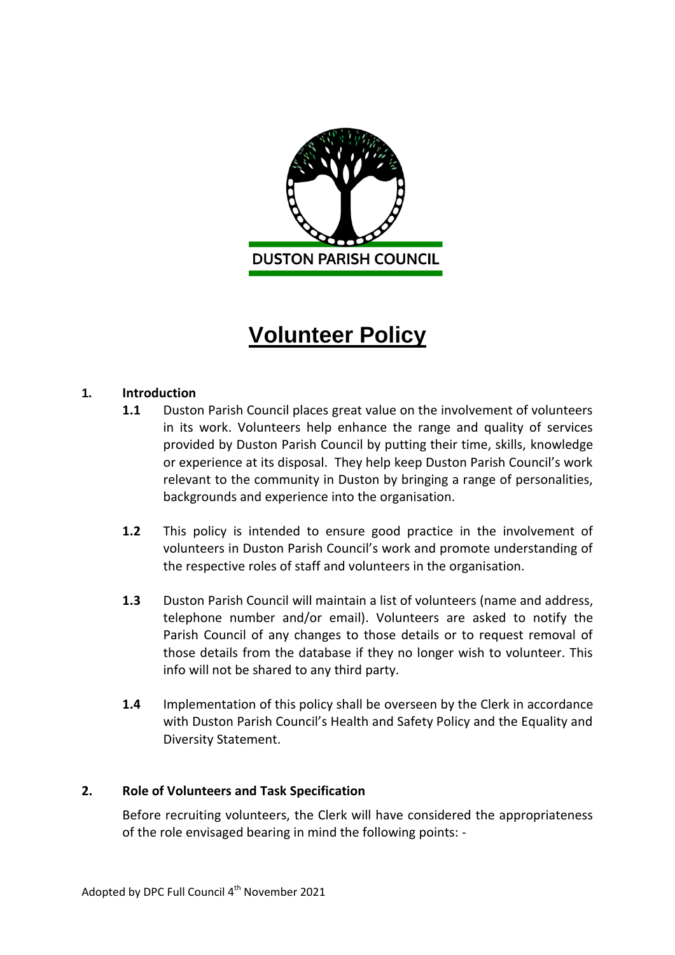

# **Volunteer Policy**

## **1. Introduction**

- **1.1** Duston Parish Council places great value on the involvement of volunteers in its work. Volunteers help enhance the range and quality of services provided by Duston Parish Council by putting their time, skills, knowledge or experience at its disposal. They help keep Duston Parish Council's work relevant to the community in Duston by bringing a range of personalities, backgrounds and experience into the organisation.
- **1.2** This policy is intended to ensure good practice in the involvement of volunteers in Duston Parish Council's work and promote understanding of the respective roles of staff and volunteers in the organisation.
- **1.3** Duston Parish Council will maintain a list of volunteers (name and address, telephone number and/or email). Volunteers are asked to notify the Parish Council of any changes to those details or to request removal of those details from the database if they no longer wish to volunteer. This info will not be shared to any third party.
- **1.4** Implementation of this policy shall be overseen by the Clerk in accordance with Duston Parish Council's Health and Safety Policy and the Equality and Diversity Statement.

# **2. Role of Volunteers and Task Specification**

Before recruiting volunteers, the Clerk will have considered the appropriateness of the role envisaged bearing in mind the following points: -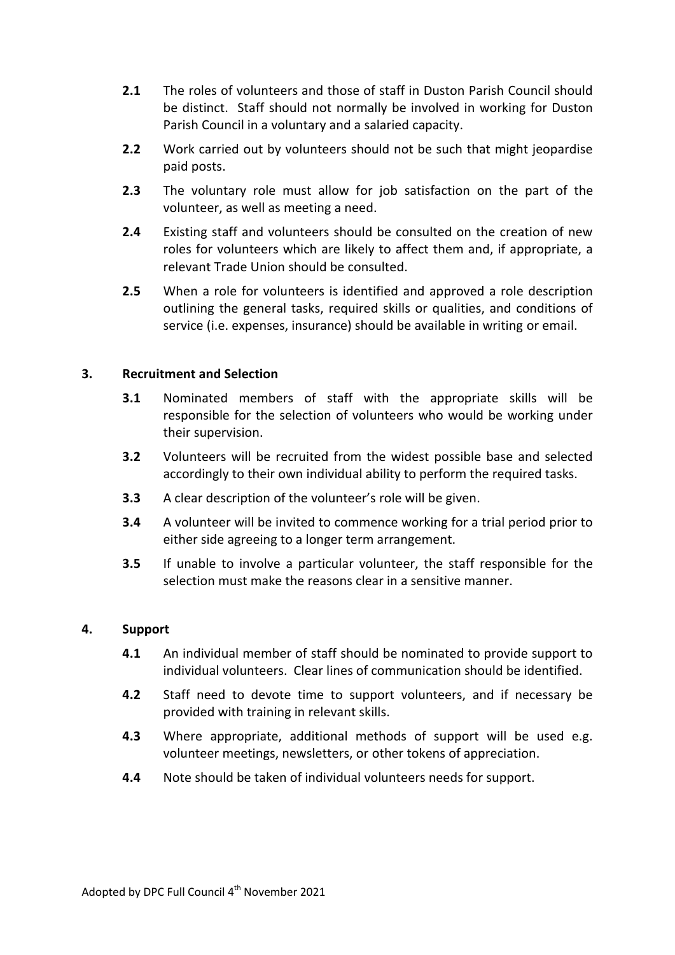- **2.1** The roles of volunteers and those of staff in Duston Parish Council should be distinct. Staff should not normally be involved in working for Duston Parish Council in a voluntary and a salaried capacity.
- **2.2** Work carried out by volunteers should not be such that might jeopardise paid posts.
- **2.3** The voluntary role must allow for job satisfaction on the part of the volunteer, as well as meeting a need.
- **2.4** Existing staff and volunteers should be consulted on the creation of new roles for volunteers which are likely to affect them and, if appropriate, a relevant Trade Union should be consulted.
- **2.5** When a role for volunteers is identified and approved a role description outlining the general tasks, required skills or qualities, and conditions of service (i.e. expenses, insurance) should be available in writing or email.

## **3. Recruitment and Selection**

- **3.1** Nominated members of staff with the appropriate skills will be responsible for the selection of volunteers who would be working under their supervision.
- **3.2** Volunteers will be recruited from the widest possible base and selected accordingly to their own individual ability to perform the required tasks.
- **3.3** A clear description of the volunteer's role will be given.
- **3.4** A volunteer will be invited to commence working for a trial period prior to either side agreeing to a longer term arrangement.
- **3.5** If unable to involve a particular volunteer, the staff responsible for the selection must make the reasons clear in a sensitive manner.

## **4. Support**

- **4.1** An individual member of staff should be nominated to provide support to individual volunteers. Clear lines of communication should be identified.
- **4.2** Staff need to devote time to support volunteers, and if necessary be provided with training in relevant skills.
- **4.3** Where appropriate, additional methods of support will be used e.g. volunteer meetings, newsletters, or other tokens of appreciation.
- **4.4** Note should be taken of individual volunteers needs for support.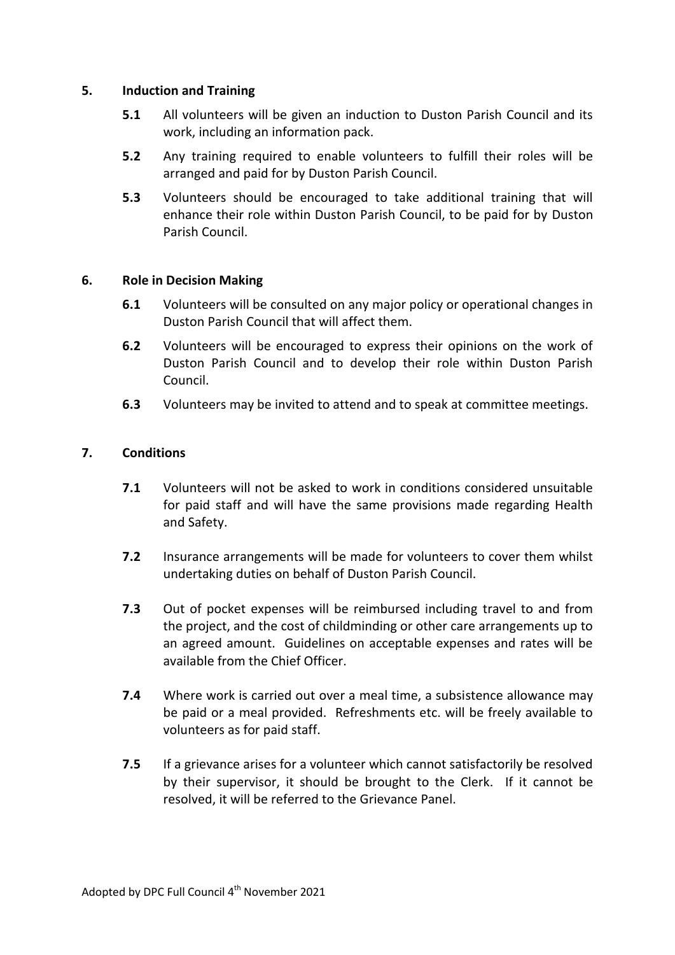## **5. Induction and Training**

- **5.1** All volunteers will be given an induction to Duston Parish Council and its work, including an information pack.
- **5.2** Any training required to enable volunteers to fulfill their roles will be arranged and paid for by Duston Parish Council.
- **5.3** Volunteers should be encouraged to take additional training that will enhance their role within Duston Parish Council, to be paid for by Duston Parish Council.

#### **6. Role in Decision Making**

- **6.1** Volunteers will be consulted on any major policy or operational changes in Duston Parish Council that will affect them.
- **6.2** Volunteers will be encouraged to express their opinions on the work of Duston Parish Council and to develop their role within Duston Parish Council.
- **6.3** Volunteers may be invited to attend and to speak at committee meetings.

#### **7. Conditions**

- **7.1** Volunteers will not be asked to work in conditions considered unsuitable for paid staff and will have the same provisions made regarding Health and Safety.
- **7.2** Insurance arrangements will be made for volunteers to cover them whilst undertaking duties on behalf of Duston Parish Council.
- **7.3** Out of pocket expenses will be reimbursed including travel to and from the project, and the cost of childminding or other care arrangements up to an agreed amount. Guidelines on acceptable expenses and rates will be available from the Chief Officer.
- **7.4** Where work is carried out over a meal time, a subsistence allowance may be paid or a meal provided. Refreshments etc. will be freely available to volunteers as for paid staff.
- **7.5** If a grievance arises for a volunteer which cannot satisfactorily be resolved by their supervisor, it should be brought to the Clerk. If it cannot be resolved, it will be referred to the Grievance Panel.